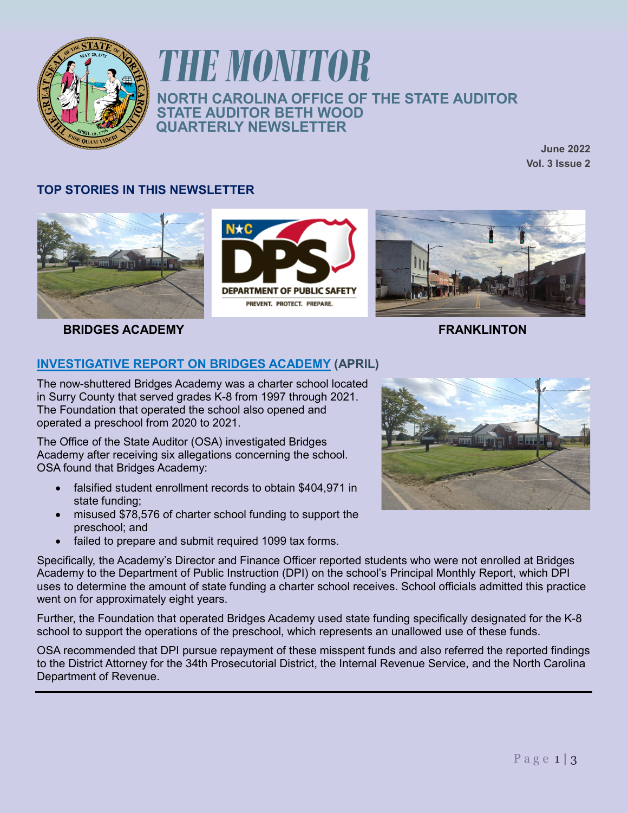

# *THE MONITOR* **NORTH CAROLINA OFFICE OF THE STATE AUDITOR STATE AUDITOR BETH WOOD QUARTERLY NEWSLETTER**

**June 2022 Vol. 3 Issue 2**

### **TOP STORIES IN THIS NEWSLETTER**









## **[INVESTIGATIVE REPORT ON BRIDGES ACADEMY](https://www.auditor.nc.gov/media/4259/open) (APRIL)**

The now-shuttered Bridges Academy was a charter school located in Surry County that served grades K-8 from 1997 through 2021. The Foundation that operated the school also opened and operated a preschool from 2020 to 2021.

The Office of the State Auditor (OSA) investigated Bridges Academy after receiving six allegations concerning the school. OSA found that Bridges Academy:

- falsified student enrollment records to obtain \$404,971 in state funding;
- misused \$78,576 of charter school funding to support the preschool; and
- failed to prepare and submit required 1099 tax forms.

Specifically, the Academy's Director and Finance Officer reported students who were not enrolled at Bridges Academy to the Department of Public Instruction (DPI) on the school's Principal Monthly Report, which DPI uses to determine the amount of state funding a charter school receives. School officials admitted this practice went on for approximately eight years.

Further, the Foundation that operated Bridges Academy used state funding specifically designated for the K-8 school to support the operations of the preschool, which represents an unallowed use of these funds.

OSA recommended that DPI pursue repayment of these misspent funds and also referred the reported findings to the District Attorney for the 34th Prosecutorial District, the Internal Revenue Service, and the North Carolina Department of Revenue.

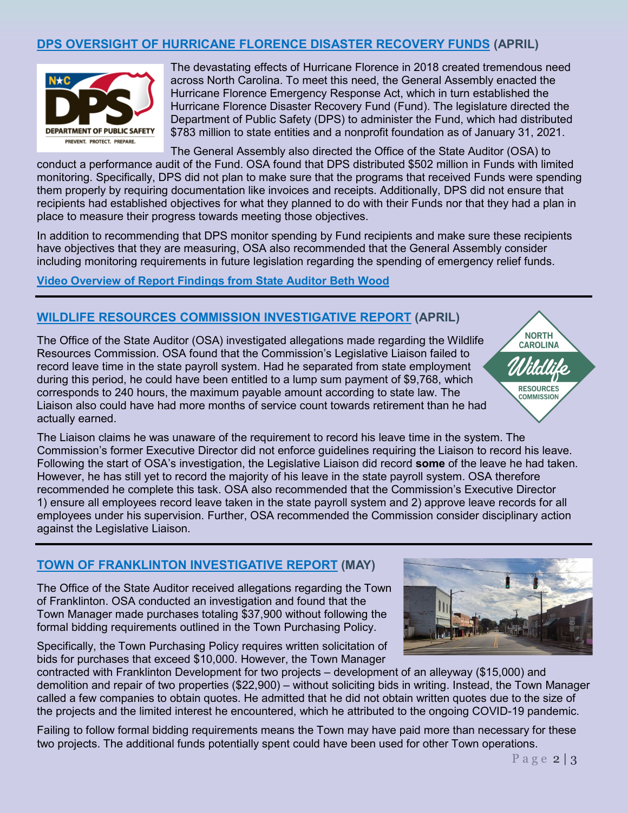### **[DPS OVERSIGHT OF HURRICANE FLORENCE DISASTER RECOVERY FUNDS](https://www.auditor.nc.gov/media/4241/open) (APRIL)**



The devastating effects of Hurricane Florence in 2018 created tremendous need across North Carolina. To meet this need, the General Assembly enacted the Hurricane Florence Emergency Response Act, which in turn established the Hurricane Florence Disaster Recovery Fund (Fund). The legislature directed the Department of Public Safety (DPS) to administer the Fund, which had distributed \$783 million to state entities and a nonprofit foundation as of January 31, 2021.

The General Assembly also directed the Office of the State Auditor (OSA) to conduct a performance audit of the Fund. OSA found that DPS distributed \$502 million in Funds with limited monitoring. Specifically, DPS did not plan to make sure that the programs that received Funds were spending them properly by requiring documentation like invoices and receipts. Additionally, DPS did not ensure that recipients had established objectives for what they planned to do with their Funds nor that they had a plan in place to measure their progress towards meeting those objectives.

In addition to recommending that DPS monitor spending by Fund recipients and make sure these recipients have objectives that they are measuring, OSA also recommended that the General Assembly consider including monitoring requirements in future legislation regarding the spending of emergency relief funds.

**[Video Overview of Report Findings from State Auditor Beth Wood](https://www.youtube.com/watch?v=FGTIEtXk4ZY)**

#### **[WILDLIFE RESOURCES COMMISSION](https://www.auditor.nc.gov/media/4250/open) INVESTIGATIVE REPORT (APRIL)**

The Office of the State Auditor (OSA) investigated allegations made regarding the Wildlife Resources Commission. OSA found that the Commission's Legislative Liaison failed to record leave time in the state payroll system. Had he separated from state employment during this period, he could have been entitled to a lump sum payment of \$9,768, which corresponds to 240 hours, the maximum payable amount according to state law. The Liaison also could have had more months of service count towards retirement than he had actually earned.

The Liaison claims he was unaware of the requirement to record his leave time in the system. The Commission's former Executive Director did not enforce guidelines requiring the Liaison to record his leave. Following the start of OSA's investigation, the Legislative Liaison did record **some** of the leave he had taken. However, he has still yet to record the majority of his leave in the state payroll system. OSA therefore recommended he complete this task. OSA also recommended that the Commission's Executive Director 1) ensure all employees record leave taken in the state payroll system and 2) approve leave records for all employees under his supervision. Further, OSA recommended the Commission consider disciplinary action against the Legislative Liaison.

#### **[TOWN OF FRANKLINTON](https://www.auditor.nc.gov/media/4274/open) INVESTIGATIVE REPORT (MAY)**

The Office of the State Auditor received allegations regarding the Town of Franklinton. OSA conducted an investigation and found that the Town Manager made purchases totaling \$37,900 without following the formal bidding requirements outlined in the Town Purchasing Policy.

Specifically, the Town Purchasing Policy requires written solicitation of bids for purchases that exceed \$10,000. However, the Town Manager

contracted with Franklinton Development for two projects – development of an alleyway (\$15,000) and demolition and repair of two properties (\$22,900) – without soliciting bids in writing. Instead, the Town Manager called a few companies to obtain quotes. He admitted that he did not obtain written quotes due to the size of the projects and the limited interest he encountered, which he attributed to the ongoing COVID-19 pandemic.

Failing to follow formal bidding requirements means the Town may have paid more than necessary for these two projects. The additional funds potentially spent could have been used for other Town operations.